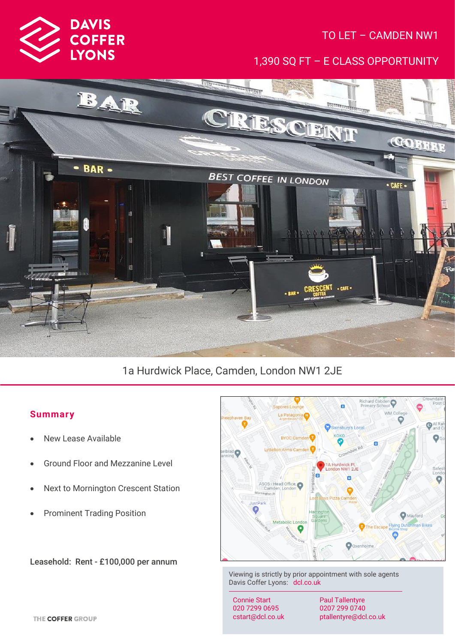

# TO LET – CAMDEN NW1

1,390 SQ FT – E CLASS OPPORTUNITY



# 1a Hurdwick Place, Camden, London NW1 2JE

## **Summar y**

- New Lease Available
- Ground Floor and Mezzanine Level
- Next to Mornington Crescent Station
- Prominent Trading Position

Leasehold: Rent - £100,000 per annum



Viewing is strictly by prior appointment with sole agents Davis Coffer Lyons: dcl.co.uk

Connie Start 020 7299 0695 cstart@dcl.co.uk

Paul Tallentyre 0207 299 0740 ptallentyre@dcl.co.uk

THE COFFER GROUP